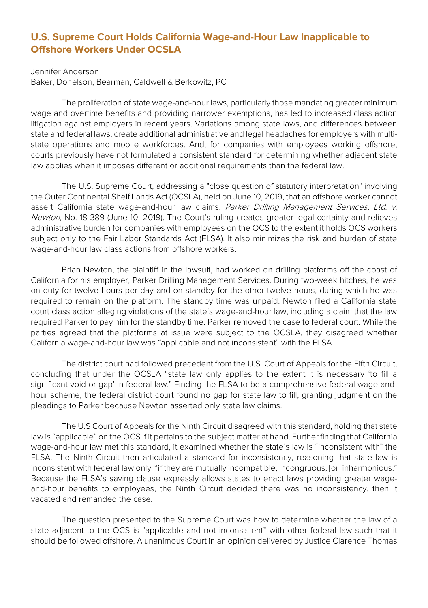## **U.S. Supreme Court Holds California Wage-and-Hour Law Inapplicable to Offshore Workers Under OCSLA**

Jennifer Anderson

Baker, Donelson, Bearman, Caldwell & Berkowitz, PC

The proliferation of state wage-and-hour laws, particularly those mandating greater minimum wage and overtime benefits and providing narrower exemptions, has led to increased class action litigation against employers in recent years. Variations among state laws, and differences between state and federal laws, create additional administrative and legal headaches for employers with multistate operations and mobile workforces. And, for companies with employees working offshore, courts previously have not formulated a consistent standard for determining whether adjacent state law applies when it imposes different or additional requirements than the federal law.

The U.S. Supreme Court, addressing a "close question of statutory interpretation" involving the Outer Continental Shelf Lands Act (OCSLA), held on June 10, 2019, that an offshore worker cannot assert California state wage-and-hour law claims. Parker Drilling Management Services, Ltd. v. Newton, No. 18-389 (June 10, 2019). The Court's ruling creates greater legal certainty and relieves administrative burden for companies with employees on the OCS to the extent it holds OCS workers subject only to the Fair Labor Standards Act (FLSA). It also minimizes the risk and burden of state wage-and-hour law class actions from offshore workers.

Brian Newton, the plaintiff in the lawsuit, had worked on drilling platforms off the coast of California for his employer, Parker Drilling Management Services. During two-week hitches, he was on duty for twelve hours per day and on standby for the other twelve hours, during which he was required to remain on the platform. The standby time was unpaid. Newton filed a California state court class action alleging violations of the state's wage-and-hour law, including a claim that the law required Parker to pay him for the standby time. Parker removed the case to federal court. While the parties agreed that the platforms at issue were subject to the OCSLA, they disagreed whether California wage-and-hour law was "applicable and not inconsistent" with the FLSA.

The district court had followed precedent from the U.S. Court of Appeals for the Fifth Circuit, concluding that under the OCSLA "state law only applies to the extent it is necessary 'to fill a significant void or gap' in federal law." Finding the FLSA to be a comprehensive federal wage-andhour scheme, the federal district court found no gap for state law to fill, granting judgment on the pleadings to Parker because Newton asserted only state law claims.

The U.S Court of Appeals for the Ninth Circuit disagreed with this standard, holding that state law is "applicable" on the OCS if it pertains to the subject matter at hand. Further finding that California wage-and-hour law met this standard, it examined whether the state's law is "inconsistent with" the FLSA. The Ninth Circuit then articulated a standard for inconsistency, reasoning that state law is inconsistent with federal law only "'if they are mutually incompatible, incongruous, [or] inharmonious." Because the FLSA's saving clause expressly allows states to enact laws providing greater wageand-hour benefits to employees, the Ninth Circuit decided there was no inconsistency, then it vacated and remanded the case.

The question presented to the Supreme Court was how to determine whether the law of a state adjacent to the OCS is "applicable and not inconsistent" with other federal law such that it should be followed offshore. A unanimous Court in an opinion delivered by Justice Clarence Thomas